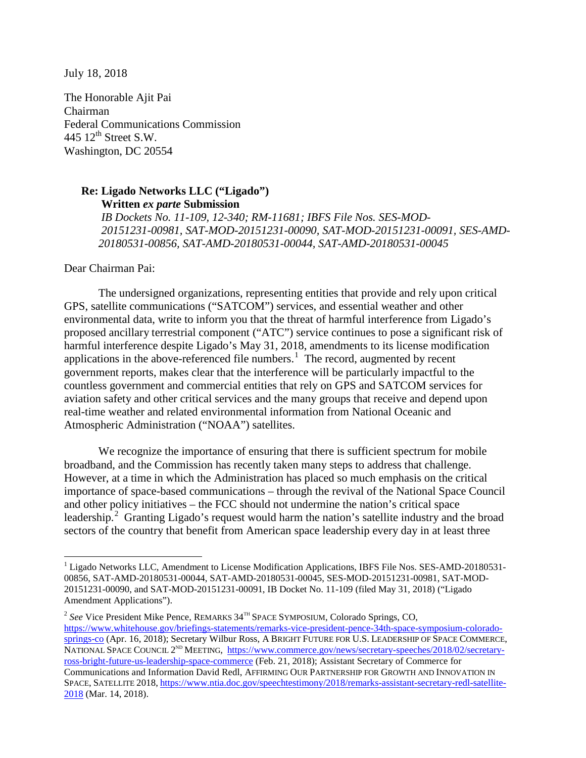July 18, 2018

The Honorable Ajit Pai Chairman Federal Communications Commission 445  $12^{\text{th}}$  Street S.W. Washington, DC 20554

## **Re: Ligado Networks LLC ("Ligado") Written** *ex parte* **Submission**

*IB Dockets No. 11-109, 12-340; RM-11681; IBFS File Nos. SES-MOD-20151231-00981, SAT-MOD-20151231-00090, SAT-MOD-20151231-00091, SES-AMD-20180531-00856, SAT-AMD-20180531-00044, SAT-AMD-20180531-00045*

Dear Chairman Pai:

<u>.</u>

The undersigned organizations, representing entities that provide and rely upon critical GPS, satellite communications ("SATCOM") services, and essential weather and other environmental data, write to inform you that the threat of harmful interference from Ligado's proposed ancillary terrestrial component ("ATC") service continues to pose a significant risk of harmful interference despite Ligado's May 31, 2018, amendments to its license modification applications in the above-referenced file numbers.<sup>[1](#page-0-0)</sup> The record, augmented by recent government reports, makes clear that the interference will be particularly impactful to the countless government and commercial entities that rely on GPS and SATCOM services for aviation safety and other critical services and the many groups that receive and depend upon real-time weather and related environmental information from National Oceanic and Atmospheric Administration ("NOAA") satellites.

We recognize the importance of ensuring that there is sufficient spectrum for mobile broadband, and the Commission has recently taken many steps to address that challenge. However, at a time in which the Administration has placed so much emphasis on the critical importance of space-based communications – through the revival of the National Space Council and other policy initiatives – the FCC should not undermine the nation's critical space leadership.<sup>[2](#page-0-1)</sup> Granting Ligado's request would harm the nation's satellite industry and the broad sectors of the country that benefit from American space leadership every day in at least three

<span id="page-0-0"></span><sup>&</sup>lt;sup>1</sup> Ligado Networks LLC, Amendment to License Modification Applications, IBFS File Nos. SES-AMD-20180531-00856, SAT-AMD-20180531-00044, SAT-AMD-20180531-00045, SES-MOD-20151231-00981, SAT-MOD-20151231-00090, and SAT-MOD-20151231-00091, IB Docket No. 11-109 (filed May 31, 2018) ("Ligado Amendment Applications").

<span id="page-0-1"></span><sup>&</sup>lt;sup>2</sup> See Vice President Mike Pence, REMARKS 34<sup>TH</sup> SPACE SYMPOSIUM, Colorado Springs, CO, [https://www.whitehouse.gov/briefings-statements/remarks-vice-president-pence-34th-space-symposium-colorado](https://www.whitehouse.gov/briefings-statements/remarks-vice-president-pence-34th-space-symposium-colorado-springs-co/)[springs-co](https://www.whitehouse.gov/briefings-statements/remarks-vice-president-pence-34th-space-symposium-colorado-springs-co/) (Apr. 16, 2018); Secretary Wilbur Ross, A BRIGHT FUTURE FOR U.S. LEADERSHIP OF SPACE COMMERCE, NATIONAL SPACE COUNCIL 2<sup>ND</sup> MEETING, [https://www.commerce.gov/news/secretary-speeches/2018/02/secretary](https://www.commerce.gov/news/secretary-speeches/2018/02/secretary-ross-bright-future-us-leadership-space-commerce)[ross-bright-future-us-leadership-space-commerce](https://www.commerce.gov/news/secretary-speeches/2018/02/secretary-ross-bright-future-us-leadership-space-commerce) (Feb. 21, 2018); Assistant Secretary of Commerce for Communications and Information David Redl, AFFIRMING OUR PARTNERSHIP FOR GROWTH AND INNOVATION IN SPACE, SATELLITE 2018, [https://www.ntia.doc.gov/speechtestimony/2018/remarks-assistant-secretary-redl-satellite-](https://www.ntia.doc.gov/speechtestimony/2018/remarks-assistant-secretary-redl-satellite-2018)[2018](https://www.ntia.doc.gov/speechtestimony/2018/remarks-assistant-secretary-redl-satellite-2018) (Mar. 14, 2018).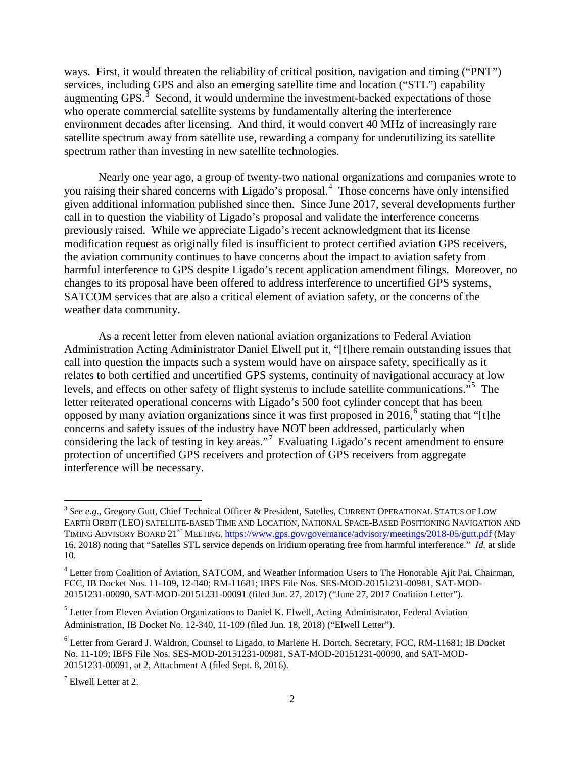ways. First, it would threaten the reliability of critical position, navigation and timing ("PNT") services, including GPS and also an emerging satellite time and location ("STL") capability augmenting GPS. $3$  Second, it would undermine the investment-backed expectations of those who operate commercial satellite systems by fundamentally altering the interference environment decades after licensing. And third, it would convert 40 MHz of increasingly rare satellite spectrum away from satellite use, rewarding a company for underutilizing its satellite spectrum rather than investing in new satellite technologies.

Nearly one year ago, a group of twenty-two national organizations and companies wrote to you raising their shared concerns with Ligado's proposal.<sup>[4](#page-1-1)</sup> Those concerns have only intensified given additional information published since then. Since June 2017, several developments further call in to question the viability of Ligado's proposal and validate the interference concerns previously raised. While we appreciate Ligado's recent acknowledgment that its license modification request as originally filed is insufficient to protect certified aviation GPS receivers, the aviation community continues to have concerns about the impact to aviation safety from harmful interference to GPS despite Ligado's recent application amendment filings. Moreover, no changes to its proposal have been offered to address interference to uncertified GPS systems, SATCOM services that are also a critical element of aviation safety, or the concerns of the weather data community.

As a recent letter from eleven national aviation organizations to Federal Aviation Administration Acting Administrator Daniel Elwell put it, "[t]here remain outstanding issues that call into question the impacts such a system would have on airspace safety, specifically as it relates to both certified and uncertified GPS systems, continuity of navigational accuracy at low levels, and effects on other safety of flight systems to include satellite communications."[5](#page-1-2) The letter reiterated operational concerns with Ligado's 500 foot cylinder concept that has been opposed by many aviation organizations since it was first proposed in 201[6](#page-1-3),<sup>6</sup> stating that "[t]he concerns and safety issues of the industry have NOT been addressed, particularly when considering the lack of testing in key areas."<sup>[7](#page-1-4)</sup> Evaluating Ligado's recent amendment to ensure protection of uncertified GPS receivers and protection of GPS receivers from aggregate interference will be necessary.

<u>.</u>

<span id="page-1-0"></span><sup>&</sup>lt;sup>3</sup> See e.g., Gregory Gutt, Chief Technical Officer & President, Satelles, CURRENT OPERATIONAL STATUS OF LOW EARTH ORBIT (LEO) SATELLITE-BASED TIME AND LOCATION, NATIONAL SPACE-BASED POSITIONING NAVIGATION AND TIMING ADVISORY BOARD 21ST MEETING, <https://www.gps.gov/governance/advisory/meetings/2018-05/gutt.pdf> (May 16, 2018) noting that "Satelles STL service depends on Iridium operating free from harmful interference." *Id.* at slide 10.

<span id="page-1-1"></span><sup>&</sup>lt;sup>4</sup> Letter from Coalition of Aviation, SATCOM, and Weather Information Users to The Honorable Ajit Pai, Chairman, FCC, IB Docket Nos. 11-109, 12-340; RM-11681; IBFS File Nos. SES-MOD-20151231-00981, SAT-MOD-20151231-00090, SAT-MOD-20151231-00091 (filed Jun. 27, 2017) ("June 27, 2017 Coalition Letter").

<span id="page-1-2"></span><sup>&</sup>lt;sup>5</sup> Letter from Eleven Aviation Organizations to Daniel K. Elwell, Acting Administrator, Federal Aviation Administration, IB Docket No. 12-340, 11-109 (filed Jun. 18, 2018) ("Elwell Letter").

<span id="page-1-3"></span><sup>&</sup>lt;sup>6</sup> Letter from Gerard J. Waldron, Counsel to Ligado, to Marlene H. Dortch, Secretary, FCC, RM-11681; IB Docket No. 11-109; IBFS File Nos. SES-MOD-20151231-00981, SAT-MOD-20151231-00090, and SAT-MOD-20151231-00091, at 2, Attachment A (filed Sept. 8, 2016).

<span id="page-1-4"></span> $<sup>7</sup>$  Elwell Letter at 2.</sup>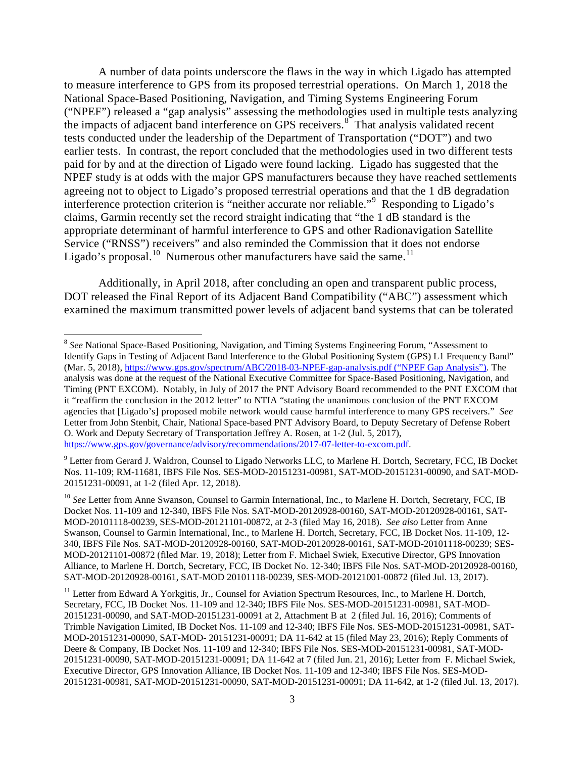A number of data points underscore the flaws in the way in which Ligado has attempted to measure interference to GPS from its proposed terrestrial operations. On March 1, 2018 the National Space-Based Positioning, Navigation, and Timing Systems Engineering Forum ("NPEF") released a "gap analysis" assessing the methodologies used in multiple tests analyzing the impacts of adjacent band interference on GPS receivers.<sup>[8](#page-2-0)</sup> That analysis validated recent tests conducted under the leadership of the Department of Transportation ("DOT") and two earlier tests. In contrast, the report concluded that the methodologies used in two different tests paid for by and at the direction of Ligado were found lacking. Ligado has suggested that the NPEF study is at odds with the major GPS manufacturers because they have reached settlements agreeing not to object to Ligado's proposed terrestrial operations and that the 1 dB degradation interference protection criterion is "neither accurate nor reliable."[9](#page-2-1) Responding to Ligado's claims, Garmin recently set the record straight indicating that "the 1 dB standard is the appropriate determinant of harmful interference to GPS and other Radionavigation Satellite Service ("RNSS") receivers" and also reminded the Commission that it does not endorse Ligado's proposal.<sup>[10](#page-2-2)</sup> Numerous other manufacturers have said the same.<sup>11</sup>

Additionally, in April 2018, after concluding an open and transparent public process, DOT released the Final Report of its Adjacent Band Compatibility ("ABC") assessment which examined the maximum transmitted power levels of adjacent band systems that can be tolerated

<span id="page-2-0"></span><sup>8</sup> *See* National Space-Based Positioning, Navigation, and Timing Systems Engineering Forum, "Assessment to Identify Gaps in Testing of Adjacent Band Interference to the Global Positioning System (GPS) L1 Frequency Band" (Mar. 5, 2018),<https://www.gps.gov/spectrum/ABC/2018-03-NPEF-gap-analysis.pdf> ("NPEF Gap Analysis"). The analysis was done at the request of the National Executive Committee for Space-Based Positioning, Navigation, and Timing (PNT EXCOM). Notably, in July of 2017 the PNT Advisory Board recommended to the PNT EXCOM that it "reaffirm the conclusion in the 2012 letter" to NTIA "stating the unanimous conclusion of the PNT EXCOM agencies that [Ligado's] proposed mobile network would cause harmful interference to many GPS receivers." *See*  Letter from John Stenbit, Chair, National Space-based PNT Advisory Board, to Deputy Secretary of Defense Robert O. Work and Deputy Secretary of Transportation Jeffrey A. Rosen, at 1-2 (Jul. 5, 2017), [https://www.gps.gov/governance/advisory/recommendations/2017-07-letter-to-excom.pdf.](https://www.gps.gov/governance/advisory/recommendations/2017-07-letter-to-excom.pdf)

<span id="page-2-1"></span><sup>&</sup>lt;sup>9</sup> Letter from Gerard J. Waldron, Counsel to Ligado Networks LLC, to Marlene H. Dortch, Secretary, FCC, IB Docket Nos. 11-109; RM-11681, IBFS File Nos. SES-MOD-20151231-00981, SAT-MOD-20151231-00090, and SAT-MOD-20151231-00091, at 1-2 (filed Apr. 12, 2018).

<span id="page-2-2"></span><sup>&</sup>lt;sup>10</sup> See Letter from Anne Swanson, Counsel to Garmin International, Inc., to Marlene H. Dortch, Secretary, FCC, IB Docket Nos. 11-109 and 12-340, IBFS File Nos. SAT-MOD-20120928-00160, SAT-MOD-20120928-00161, SAT-MOD-20101118-00239, SES-MOD-20121101-00872, at 2-3 (filed May 16, 2018). *See also* Letter from Anne Swanson, Counsel to Garmin International, Inc., to Marlene H. Dortch, Secretary, FCC, IB Docket Nos. 11-109, 12- 340, IBFS File Nos. SAT-MOD-20120928-00160, SAT-MOD-20120928-00161, SAT-MOD-20101118-00239; SES-MOD-20121101-00872 (filed Mar. 19, 2018); Letter from F. Michael Swiek, Executive Director, GPS Innovation Alliance, to Marlene H. Dortch, Secretary, FCC, IB Docket No. 12-340; IBFS File Nos. SAT-MOD-20120928-00160, SAT-MOD-20120928-00161, SAT-MOD 20101118-00239, SES-MOD-20121001-00872 (filed Jul. 13, 2017).

<span id="page-2-3"></span><sup>&</sup>lt;sup>11</sup> Letter from Edward A Yorkgitis, Jr., Counsel for Aviation Spectrum Resources, Inc., to Marlene H. Dortch, Secretary, FCC, IB Docket Nos. 11-109 and 12-340; IBFS File Nos. SES-MOD-20151231-00981, SAT-MOD-20151231-00090, and SAT-MOD-20151231-00091 at 2, Attachment B at 2 (filed Jul. 16, 2016); Comments of Trimble Navigation Limited, IB Docket Nos. 11-109 and 12-340; IBFS File Nos. SES-MOD-20151231-00981, SAT-MOD-20151231-00090, SAT-MOD- 20151231-00091; DA 11-642 at 15 (filed May 23, 2016); Reply Comments of Deere & Company, IB Docket Nos. 11-109 and 12-340; IBFS File Nos. SES-MOD-20151231-00981, SAT-MOD-20151231-00090, SAT-MOD-20151231-00091; DA 11-642 at 7 (filed Jun. 21, 2016); Letter from F. Michael Swiek, Executive Director, GPS Innovation Alliance, IB Docket Nos. 11-109 and 12-340; IBFS File Nos. SES-MOD-20151231-00981, SAT-MOD-20151231-00090, SAT-MOD-20151231-00091; DA 11-642, at 1-2 (filed Jul. 13, 2017).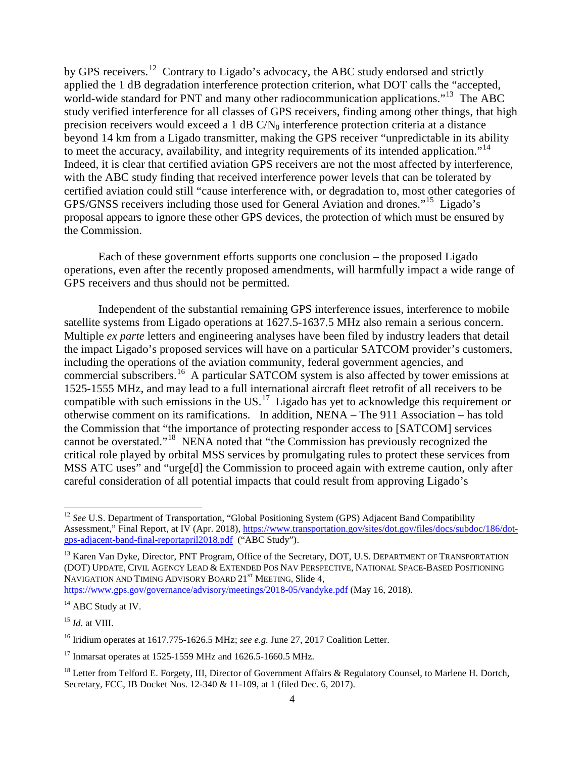by GPS receivers.<sup>12</sup> Contrary to Ligado's advocacy, the ABC study endorsed and strictly applied the 1 dB degradation interference protection criterion, what DOT calls the "accepted, world-wide standard for PNT and many other radiocommunication applications."<sup>[13](#page-3-1)</sup> The ABC study verified interference for all classes of GPS receivers, finding among other things, that high precision receivers would exceed a 1 dB  $C/N_0$  interference protection criteria at a distance beyond 14 km from a Ligado transmitter, making the GPS receiver "unpredictable in its ability to meet the accuracy, availability, and integrity requirements of its intended application."<sup>14</sup> Indeed, it is clear that certified aviation GPS receivers are not the most affected by interference, with the ABC study finding that received interference power levels that can be tolerated by certified aviation could still "cause interference with, or degradation to, most other categories of GPS/GNSS receivers including those used for General Aviation and drones."[15](#page-3-3) Ligado's proposal appears to ignore these other GPS devices, the protection of which must be ensured by the Commission.

Each of these government efforts supports one conclusion – the proposed Ligado operations, even after the recently proposed amendments, will harmfully impact a wide range of GPS receivers and thus should not be permitted.

Independent of the substantial remaining GPS interference issues, interference to mobile satellite systems from Ligado operations at 1627.5-1637.5 MHz also remain a serious concern. Multiple *ex parte* letters and engineering analyses have been filed by industry leaders that detail the impact Ligado's proposed services will have on a particular SATCOM provider's customers, including the operations of the aviation community, federal government agencies, and commercial subscribers.[16](#page-3-4) A particular SATCOM system is also affected by tower emissions at 1525-1555 MHz, and may lead to a full international aircraft fleet retrofit of all receivers to be compatible with such emissions in the US.<sup>[17](#page-3-5)</sup> Ligado has yet to acknowledge this requirement or otherwise comment on its ramifications. In addition, NENA – The 911 Association – has told the Commission that "the importance of protecting responder access to [SATCOM] services cannot be overstated."<sup>[18](#page-3-6)</sup> NENA noted that "the Commission has previously recognized the critical role played by orbital MSS services by promulgating rules to protect these services from MSS ATC uses" and "urge[d] the Commission to proceed again with extreme caution, only after careful consideration of all potential impacts that could result from approving Ligado's

 $\overline{\phantom{a}}$ 

<span id="page-3-0"></span><sup>&</sup>lt;sup>12</sup> See U.S. Department of Transportation, "Global Positioning System (GPS) Adjacent Band Compatibility Assessment," Final Report, at IV (Apr. 2018), [https://www.transportation.gov/sites/dot.gov/files/docs/subdoc/186/dot](https://www.transportation.gov/sites/dot.gov/files/docs/subdoc/186/dot-gps-adjacent-band-final-reportapril2018.pdf)[gps-adjacent-band-final-reportapril2018.pdf](https://www.transportation.gov/sites/dot.gov/files/docs/subdoc/186/dot-gps-adjacent-band-final-reportapril2018.pdf) ("ABC Study").

<span id="page-3-1"></span><sup>&</sup>lt;sup>13</sup> Karen Van Dyke, Director, PNT Program, Office of the Secretary, DOT, U.S. DEPARTMENT OF TRANSPORTATION (DOT) UPDATE, CIVIL AGENCY LEAD & EXTENDED POS NAV PERSPECTIVE, NATIONAL SPACE-BASED POSITIONING NAVIGATION AND TIMING ADVISORY BOARD 21<sup>ST</sup> MEETING, Slide 4, <https://www.gps.gov/governance/advisory/meetings/2018-05/vandyke.pdf> (May 16, 2018).

<span id="page-3-2"></span><sup>&</sup>lt;sup>14</sup> ABC Study at IV.

<span id="page-3-3"></span> $^{15}$  *Id.* at VIII.

<span id="page-3-4"></span><sup>16</sup> Iridium operates at 1617.775-1626.5 MHz; *see e.g.* June 27, 2017 Coalition Letter.

<span id="page-3-5"></span> $17$  Inmarsat operates at 1525-1559 MHz and 1626.5-1660.5 MHz.

<span id="page-3-6"></span><sup>&</sup>lt;sup>18</sup> Letter from Telford E. Forgety, III, Director of Government Affairs & Regulatory Counsel, to Marlene H. Dortch, Secretary, FCC, IB Docket Nos. 12-340 & 11-109, at 1 (filed Dec. 6, 2017).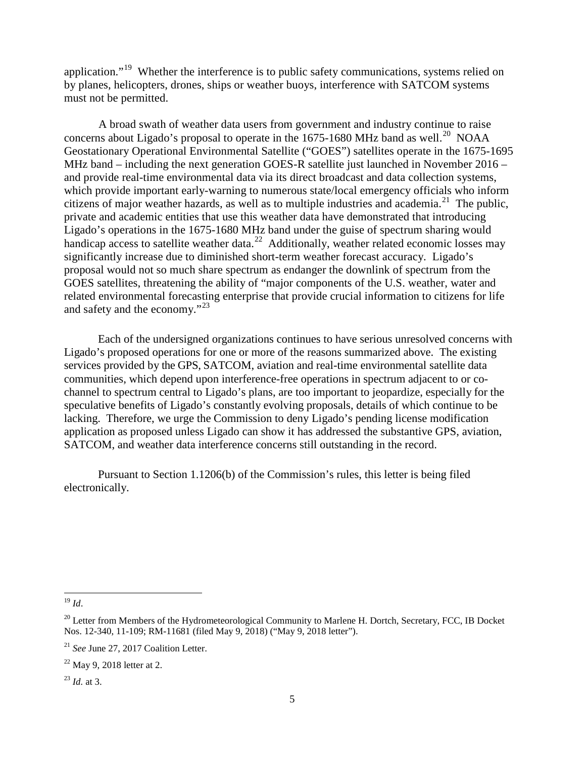application."<sup>19</sup> Whether the interference is to public safety communications, systems relied on by planes, helicopters, drones, ships or weather buoys, interference with SATCOM systems must not be permitted.

A broad swath of weather data users from government and industry continue to raise concerns about Ligado's proposal to operate in the  $1675-1680$  MHz band as well.<sup>[20](#page-4-1)</sup> NOAA Geostationary Operational Environmental Satellite ("GOES") satellites operate in the 1675-1695 MHz band – including the next generation GOES-R satellite just launched in November 2016 – and provide real-time environmental data via its direct broadcast and data collection systems, which provide important early-warning to numerous state/local emergency officials who inform citizens of major weather hazards, as well as to multiple industries and academia. [21](#page-4-2) The public, private and academic entities that use this weather data have demonstrated that introducing Ligado's operations in the 1675-1680 MHz band under the guise of spectrum sharing would handicap access to satellite weather data.<sup>[22](#page-4-3)</sup> Additionally, weather related economic losses may significantly increase due to diminished short-term weather forecast accuracy. Ligado's proposal would not so much share spectrum as endanger the downlink of spectrum from the GOES satellites, threatening the ability of "major components of the U.S. weather, water and related environmental forecasting enterprise that provide crucial information to citizens for life and safety and the economy."<sup>[23](#page-4-4)</sup>

Each of the undersigned organizations continues to have serious unresolved concerns with Ligado's proposed operations for one or more of the reasons summarized above. The existing services provided by the GPS, SATCOM, aviation and real-time environmental satellite data communities, which depend upon interference-free operations in spectrum adjacent to or cochannel to spectrum central to Ligado's plans, are too important to jeopardize, especially for the speculative benefits of Ligado's constantly evolving proposals, details of which continue to be lacking. Therefore, we urge the Commission to deny Ligado's pending license modification application as proposed unless Ligado can show it has addressed the substantive GPS, aviation, SATCOM, and weather data interference concerns still outstanding in the record.

Pursuant to Section 1.1206(b) of the Commission's rules, this letter is being filed electronically.

 $\overline{a}$ 

<span id="page-4-0"></span><sup>19</sup> *Id*.

<span id="page-4-1"></span><sup>&</sup>lt;sup>20</sup> Letter from Members of the Hydrometeorological Community to Marlene H. Dortch, Secretary, FCC, IB Docket Nos. 12-340, 11-109; RM-11681 (filed May 9, 2018) ("May 9, 2018 letter").

<span id="page-4-2"></span><sup>21</sup> *See* June 27, 2017 Coalition Letter.

<span id="page-4-3"></span> $22$  May 9, 2018 letter at 2.

<span id="page-4-4"></span><sup>23</sup> *Id.* at 3.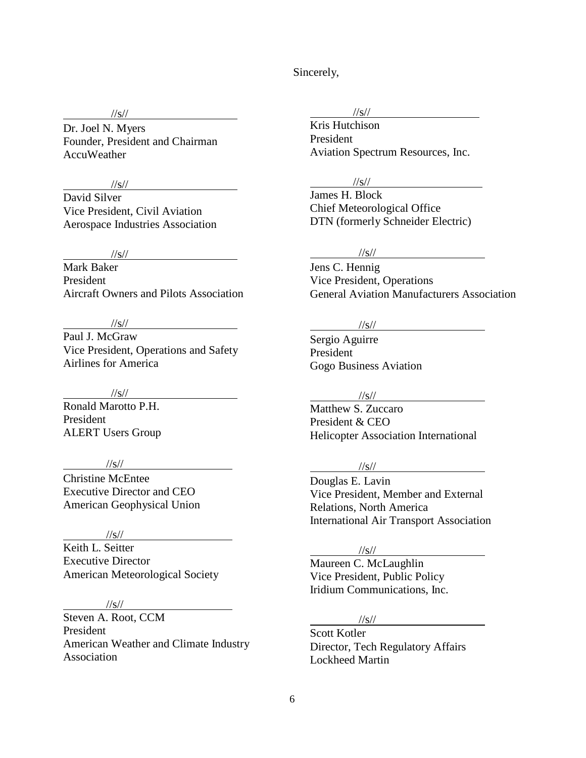Sincerely,

## //s//

Dr. Joel N. Myers Founder, President and Chairman AccuWeather

### //s//

David Silver Vice President, Civil Aviation Aerospace Industries Association

## //s//

Mark Baker President Aircraft Owners and Pilots Association

## //s//

Paul J. McGraw Vice President, Operations and Safety Airlines for America

### //s//

Ronald Marotto P.H. President ALERT Users Group

## //s//

Christine McEntee Executive Director and CEO American Geophysical Union

#### $\frac{1}{s}$ //s//

Keith L. Seitter Executive Director American Meteorological Society

## $\frac{1}{s}$ //s//

Steven A. Root, CCM President American Weather and Climate Industry Association

### //s//

Kris Hutchison President Aviation Spectrum Resources, Inc.

### //s//

James H. Block Chief Meteorological Office DTN (formerly Schneider Electric)

## //s//

Jens C. Hennig Vice President, Operations General Aviation Manufacturers Association

### //s//

Sergio Aguirre President Gogo Business Aviation

## $\frac{1}{s}$ //s//

Matthew S. Zuccaro President & CEO Helicopter Association International

#### //s//

Douglas E. Lavin Vice President, Member and External Relations, North America International Air Transport Association

## //s//

Maureen C. McLaughlin Vice President, Public Policy Iridium Communications, Inc.

### $\frac{1}{s}$ //s//

Scott Kotler Director, Tech Regulatory Affairs Lockheed Martin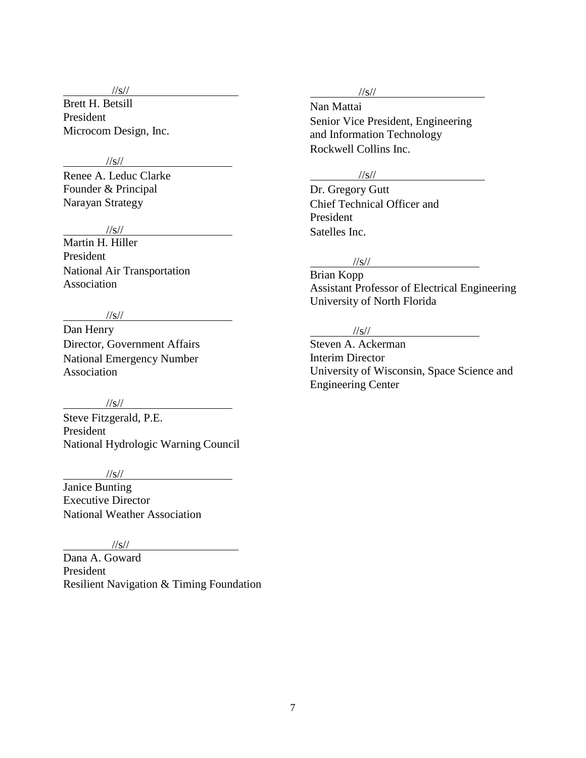//s//

Brett H. Betsill President Microcom Design, Inc.

## $\frac{1}{\sqrt{2}}$  //s//

Renee A. Leduc Clarke Founder & Principal Narayan Strategy

### //s//

Martin H. Hiller President National Air Transportation Association

### //s//

Dan Henry Director, Government Affairs National Emergency Number Association

## $\frac{1}{s}$ //s//

Steve Fitzgerald, P.E. President National Hydrologic Warning Council

## //s//

Janice Bunting Executive Director National Weather Association

#### //s//

Dana A. Goward President Resilient Navigation & Timing Foundation

### //s//

Nan Mattai Senior Vice President, Engineering and Information Technology Rockwell Collins Inc.

## //s//

Dr. Gregory Gutt Chief Technical Officer and President Satelles Inc.

#### //s//

Brian Kopp Assistant Professor of Electrical Engineering University of North Florida

# //s//

Steven A. Ackerman Interim Director University of Wisconsin, Space Science and Engineering Center